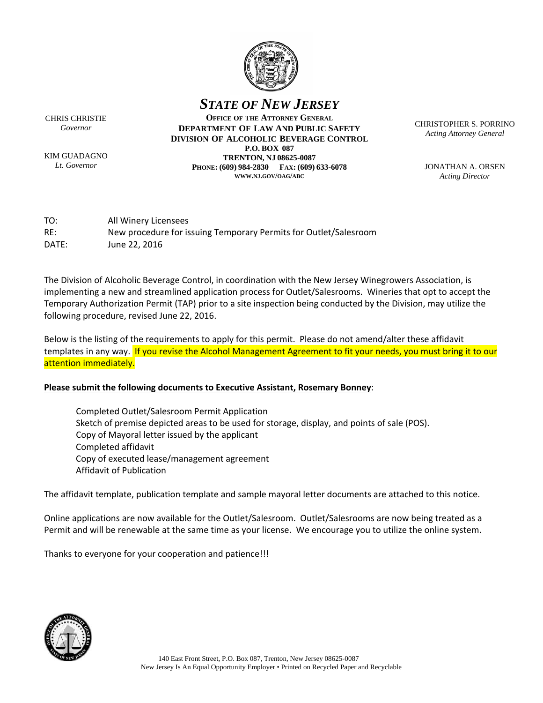

*STATE OF NEW JERSEY*

CHRIS CHRISTIE *Governor*

KIM GUADAGNO *Lt. Governor*

**OFFICE OF THE ATTORNEY GENERAL DEPARTMENT OF LAW AND PUBLIC SAFETY DIVISION OF ALCOHOLIC BEVERAGE CONTROL P.O. BOX 087 TRENTON, NJ 08625-0087 PHONE: (609) 984-2830 FAX: (609) 633-6078 WWW.NJ.GOV/OAG/ABC**

CHRISTOPHER S. PORRINO *Acting Attorney General*

JONATHAN A. ORSEN *Acting Director*

TO: All Winery Licensees RE: New procedure for issuing Temporary Permits for Outlet/Salesroom DATE: June 22, 2016

The Division of Alcoholic Beverage Control, in coordination with the New Jersey Winegrowers Association, is implementing a new and streamlined application process for Outlet/Salesrooms. Wineries that opt to accept the Temporary Authorization Permit (TAP) prior to a site inspection being conducted by the Division, may utilize the following procedure, revised June 22, 2016.

Below is the listing of the requirements to apply for this permit. Please do not amend/alter these affidavit templates in any way. If you revise the Alcohol Management Agreement to fit your needs, you must bring it to our attention immediately.

#### **Please submit the following documents to Executive Assistant, Rosemary Bonney**:

 Completed Outlet/Salesroom Permit Application Sketch of premise depicted areas to be used for storage, display, and points of sale (POS). Copy of Mayoral letter issued by the applicant Completed affidavit Copy of executed lease/management agreement Affidavit of Publication

The affidavit template, publication template and sample mayoral letter documents are attached to this notice.

Online applications are now available for the Outlet/Salesroom. Outlet/Salesrooms are now being treated as a Permit and will be renewable at the same time as your license. We encourage you to utilize the online system.

Thanks to everyone for your cooperation and patience!!!

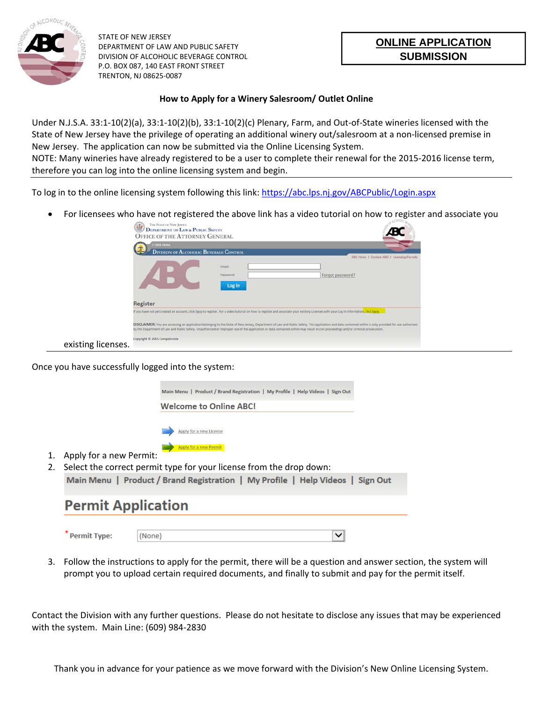

STATE OF NEW JERSEY DEPARTMENT OF LAW AND PUBLIC SAFETY DIVISION OF ALCOHOLIC BEVERAGE CONTROL P.O. BOX 087, 140 EAST FRONT STREET TRENTON, NJ 08625‐0087

#### **How to Apply for a Winery Salesroom/ Outlet Online**

Under N.J.S.A. 33:1‐10(2)(a), 33:1‐10(2)(b), 33:1‐10(2)(c) Plenary, Farm, and Out‐of‐State wineries licensed with the State of New Jersey have the privilege of operating an additional winery out/salesroom at a non‐licensed premise in New Jersey. The application can now be submitted via the Online Licensing System. NOTE: Many wineries have already registered to be a user to complete their renewal for the 2015‐2016 license term,

therefore you can log into the online licensing system and begin.

To log in to the online licensing system following this link: https://abc.lps.nj.gov/ABCPublic/Login.aspx

For licensees who have not registered the above link has a video tutorial on how to register and associate you

|                    | THE STATE OF NEW JERSEY<br><b>DEPARTMENT OF LAW &amp; PUBLIC SAFETY</b><br><b>OFFICE OF THE ATTORNEY GENERAL</b>                                                                                                                                                                                                                                                                            |
|--------------------|---------------------------------------------------------------------------------------------------------------------------------------------------------------------------------------------------------------------------------------------------------------------------------------------------------------------------------------------------------------------------------------------|
|                    | <b>OAG Hume</b><br><b>DIVISION OF ALCOHOLIC BEVERAGE CONTROL</b><br>ABC Heme 1 Centest ABC 1 Licensing/Permits                                                                                                                                                                                                                                                                              |
|                    | Email:<br>Forgot password?<br>Password:<br>Log In                                                                                                                                                                                                                                                                                                                                           |
|                    | Register<br>If you have not yet created an account, click here to register. For a video tutorial on how to register and associate your existing Licenses with your Log In Information, click here.                                                                                                                                                                                          |
|                    | DISCLAIMER: You are accessing an application belonging to the State of New Jersey, Department of Law and Public Safety. This application and data contained within is only provided for use authorized<br>by the Department of Law and Public Safety. Unauthorized or improper use of the application or data contained within may result in civil proceedings and/or criminal prosecution. |
| existing licenses. | Copyright © 2015 Computronix                                                                                                                                                                                                                                                                                                                                                                |

Once you have successfully logged into the system:



- 1. Apply for a new Permit:
- 2. Select the correct permit type for your license from the drop down: Main Menu | Product / Brand Registration | My Profile | Help Videos | Sign Out

# **Permit Application**

\* Permit Type:  $(None)$  $\blacktriangledown$ 

3. Follow the instructions to apply for the permit, there will be a question and answer section, the system will prompt you to upload certain required documents, and finally to submit and pay for the permit itself.

Contact the Division with any further questions. Please do not hesitate to disclose any issues that may be experienced with the system. Main Line: (609) 984‐2830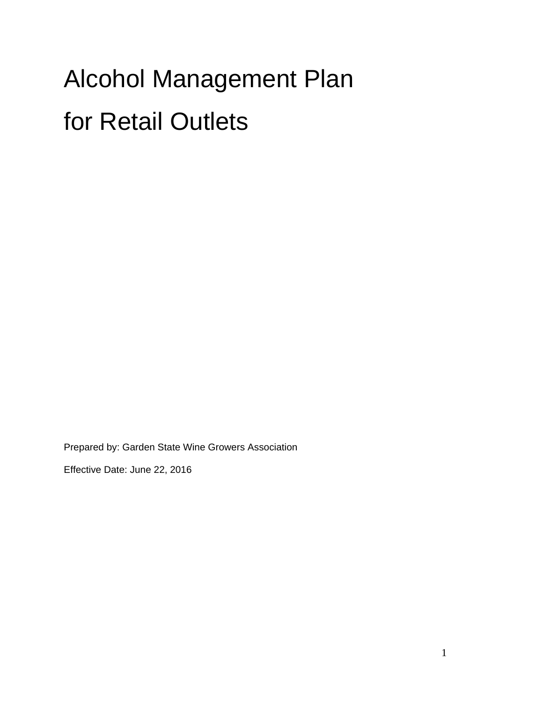# Alcohol Management Plan for Retail Outlets

Prepared by: Garden State Wine Growers Association

Effective Date: June 22, 2016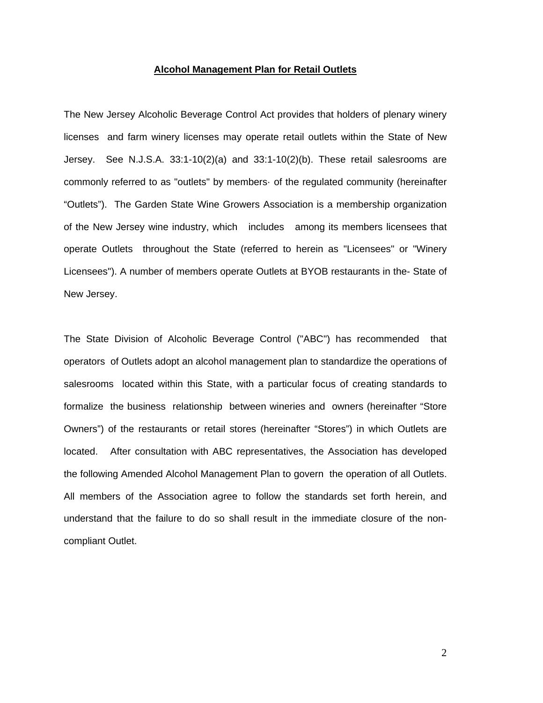#### **Alcohol Management Plan for Retail Outlets**

The New Jersey Alcoholic Beverage Control Act provides that holders of plenary winery licenses and farm winery licenses may operate retail outlets within the State of New Jersey. See N.J.S.A. 33:1-10(2)(a) and 33:1-10(2)(b). These retail salesrooms are commonly referred to as "outlets" by members· of the regulated community (hereinafter "Outlets"). The Garden State Wine Growers Association is a membership organization of the New Jersey wine industry, which includes among its members licensees that operate Outlets throughout the State (referred to herein as "Licensees" or "Winery Licensees"). A number of members operate Outlets at BYOB restaurants in the- State of New Jersey.

The State Division of Alcoholic Beverage Control ("ABC") has recommended that operators of Outlets adopt an alcohol management plan to standardize the operations of salesrooms located within this State, with a particular focus of creating standards to formalize the business relationship between wineries and owners (hereinafter "Store Owners") of the restaurants or retail stores (hereinafter "Stores") in which Outlets are located. After consultation with ABC representatives, the Association has developed the following Amended Alcohol Management Plan to govern the operation of all Outlets. All members of the Association agree to follow the standards set forth herein, and understand that the failure to do so shall result in the immediate closure of the noncompliant Outlet.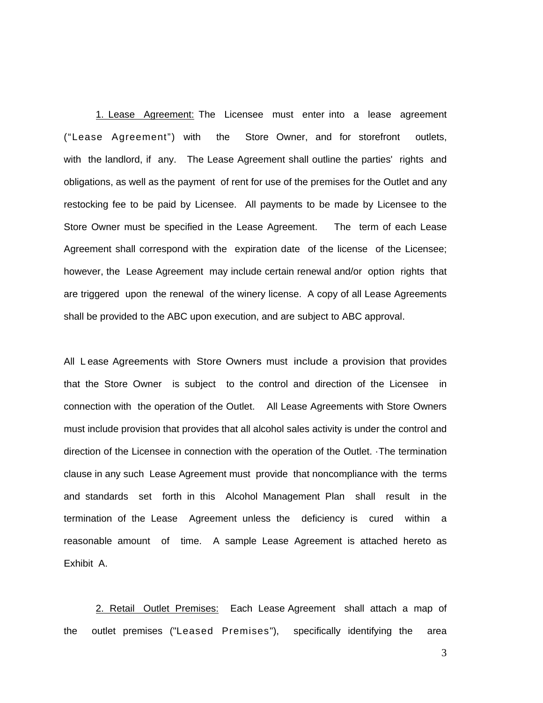1. Lease Agreement: The Licensee must enter into a lease agreement ("Lease Agreement") with the Store Owner, and for storefront outlets, with the landlord, if any. The Lease Agreement shall outline the parties' rights and obligations, as well as the payment of rent for use of the premises for the Outlet and any restocking fee to be paid by Licensee. All payments to be made by Licensee to the Store Owner must be specified in the Lease Agreement. The term of each Lease Agreement shall correspond with the expiration date of the license of the Licensee; however, the Lease Agreement may include certain renewal and/or option rights that are triggered upon the renewal of the winery license. A copy of all Lease Agreements shall be provided to the ABC upon execution, and are subject to ABC approval.

All L ease Agreements with Store Owners must include a provision that provides that the Store Owner is subject to the control and direction of the Licensee in connection with the operation of the Outlet. All Lease Agreements with Store Owners must include provision that provides that all alcohol sales activity is under the control and direction of the Licensee in connection with the operation of the Outlet. ·The termination clause in any such Lease Agreement must provide that noncompliance with the terms and standards set forth in this Alcohol Management Plan shall result in the termination of the Lease Agreement unless the deficiency is cured within a reasonable amount of time. A sample Lease Agreement is attached hereto as Exhibit A.

2. Retail Outlet Premises: Each Lease Agreement shall attach a map of the outlet premises ("Leased Premises"), specifically identifying the area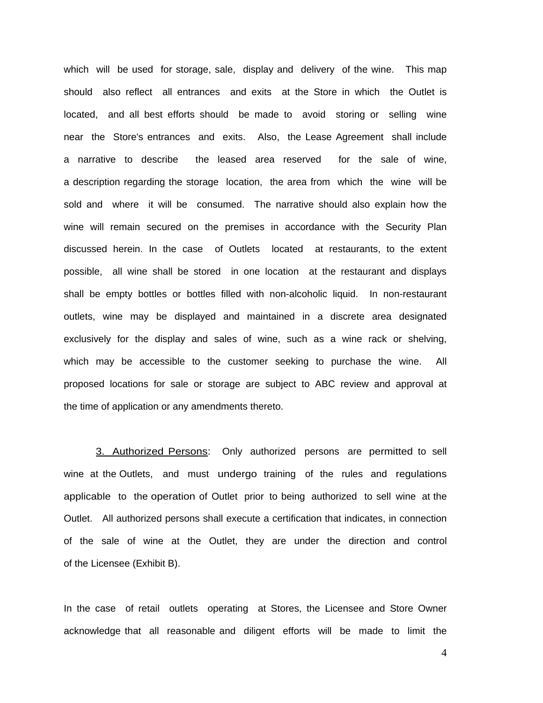which will be used for storage, sale, display and delivery of the wine. This map should also reflect all entrances and exits at the Store in which the Outlet is located, and all best efforts should be made to avoid storing or selling wine near the Store's entrances and exits. Also, the Lease Agreement shall include a narrative to describe the leased area reserved for the sale of wine, a description regarding the storage location, the area from which the wine will be sold and where it will be consumed. The narrative should also explain how the wine will remain secured on the premises in accordance with the Security Plan discussed herein. In the case of Outlets located at restaurants, to the extent possible, all wine shall be stored in one location at the restaurant and displays shall be empty bottles or bottles filled with non-alcoholic liquid. In non-restaurant outlets, wine may be displayed and maintained in a discrete area designated exclusively for the display and sales of wine, such as a wine rack or shelving, which may be accessible to the customer seeking to purchase the wine. All proposed locations for sale or storage are subject to ABC review and approval at the time of application or any amendments thereto.

3. Authorized Persons: Only authorized persons are permitted to sell wine at the Outlets, and must undergo training of the rules and regulations applicable to the operation of Outlet prior to being authorized to sell wine at the Outlet. All authorized persons shall execute a certification that indicates, in connection of the sale of wine at the Outlet, they are under the direction and control of the Licensee (Exhibit B).

In the case of retail outlets operating at Stores, the Licensee and Store Owner acknowledge that all reasonable and diligent efforts will be made to limit the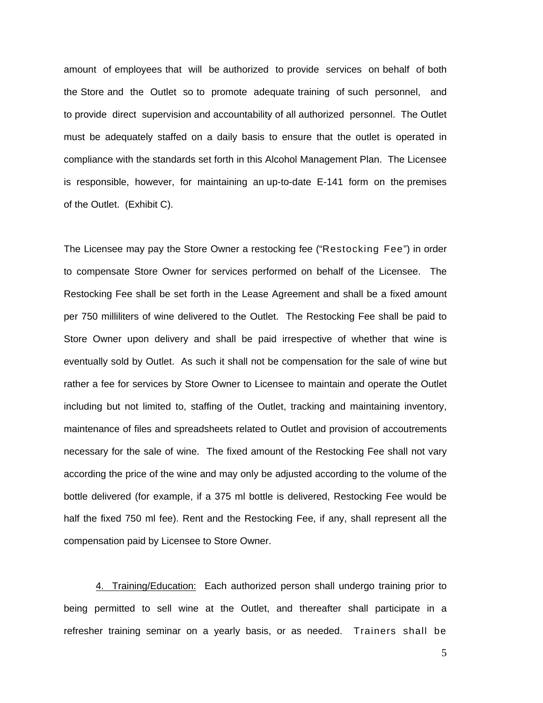amount of employees that will be authorized to provide services on behalf of both the Store and the Outlet so to promote adequate training of such personnel, and to provide direct supervision and accountability of all authorized personnel. The Outlet must be adequately staffed on a daily basis to ensure that the outlet is operated in compliance with the standards set forth in this Alcohol Management Plan. The Licensee is responsible, however, for maintaining an up-to-date E-141 form on the premises of the Outlet. (Exhibit C).

The Licensee may pay the Store Owner a restocking fee ("Restocking Fee") in order to compensate Store Owner for services performed on behalf of the Licensee. The Restocking Fee shall be set forth in the Lease Agreement and shall be a fixed amount per 750 milliliters of wine delivered to the Outlet. The Restocking Fee shall be paid to Store Owner upon delivery and shall be paid irrespective of whether that wine is eventually sold by Outlet. As such it shall not be compensation for the sale of wine but rather a fee for services by Store Owner to Licensee to maintain and operate the Outlet including but not limited to, staffing of the Outlet, tracking and maintaining inventory, maintenance of files and spreadsheets related to Outlet and provision of accoutrements necessary for the sale of wine. The fixed amount of the Restocking Fee shall not vary according the price of the wine and may only be adjusted according to the volume of the bottle delivered (for example, if a 375 ml bottle is delivered, Restocking Fee would be half the fixed 750 ml fee). Rent and the Restocking Fee, if any, shall represent all the compensation paid by Licensee to Store Owner.

4. Training/Education: Each authorized person shall undergo training prior to being permitted to sell wine at the Outlet, and thereafter shall participate in a refresher training seminar on a yearly basis, or as needed. Trainers shall be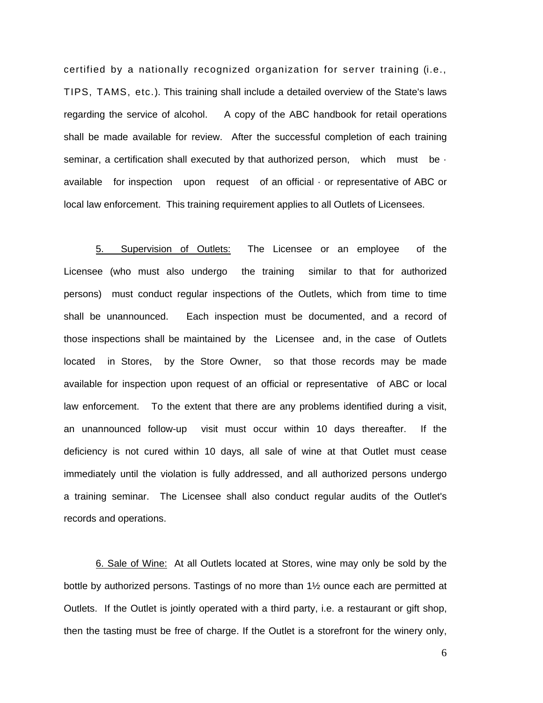certified by a nationally recognized organization for server training (i.e., TIPS, TAMS, etc.). This training shall include a detailed overview of the State's laws regarding the service of alcohol. A copy of the ABC handbook for retail operations shall be made available for review. After the successful completion of each training seminar, a certification shall executed by that authorized person, which must be  $\cdot$ available for inspection upon request of an official · or representative of ABC or local law enforcement. This training requirement applies to all Outlets of Licensees.

 5. Supervision of Outlets: The Licensee or an employee of the Licensee (who must also undergo the training similar to that for authorized persons) must conduct regular inspections of the Outlets, which from time to time shall be unannounced. Each inspection must be documented, and a record of those inspections shall be maintained by the Licensee and, in the case of Outlets located in Stores, by the Store Owner, so that those records may be made available for inspection upon request of an official or representative of ABC or local law enforcement. To the extent that there are any problems identified during a visit, an unannounced follow-up visit must occur within 10 days thereafter. If the deficiency is not cured within 10 days, all sale of wine at that Outlet must cease immediately until the violation is fully addressed, and all authorized persons undergo a training seminar. The Licensee shall also conduct regular audits of the Outlet's records and operations.

6. Sale of Wine: At all Outlets located at Stores, wine may only be sold by the bottle by authorized persons. Tastings of no more than 1½ ounce each are permitted at Outlets. If the Outlet is jointly operated with a third party, i.e. a restaurant or gift shop, then the tasting must be free of charge. If the Outlet is a storefront for the winery only,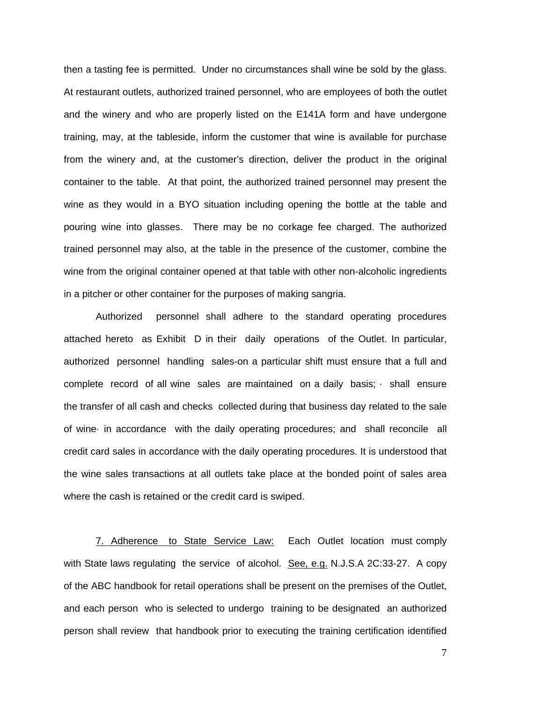then a tasting fee is permitted. Under no circumstances shall wine be sold by the glass. At restaurant outlets, authorized trained personnel, who are employees of both the outlet and the winery and who are properly listed on the E141A form and have undergone training, may, at the tableside, inform the customer that wine is available for purchase from the winery and, at the customer's direction, deliver the product in the original container to the table. At that point, the authorized trained personnel may present the wine as they would in a BYO situation including opening the bottle at the table and pouring wine into glasses. There may be no corkage fee charged. The authorized trained personnel may also, at the table in the presence of the customer, combine the wine from the original container opened at that table with other non-alcoholic ingredients in a pitcher or other container for the purposes of making sangria.

Authorized personnel shall adhere to the standard operating procedures attached hereto as Exhibit D in their daily operations of the Outlet. In particular, authorized personnel handling sales-on a particular shift must ensure that a full and complete record of all wine sales are maintained on a daily basis; · shall ensure the transfer of all cash and checks collected during that business day related to the sale of wine· in accordance with the daily operating procedures; and shall reconcile all credit card sales in accordance with the daily operating procedures. It is understood that the wine sales transactions at all outlets take place at the bonded point of sales area where the cash is retained or the credit card is swiped.

7. Adherence to State Service Law: Each Outlet location must comply with State laws regulating the service of alcohol. See, e.g. N.J.S.A 2C:33-27. A copy of the ABC handbook for retail operations shall be present on the premises of the Outlet, and each person who is selected to undergo training to be designated an authorized person shall review that handbook prior to executing the training certification identified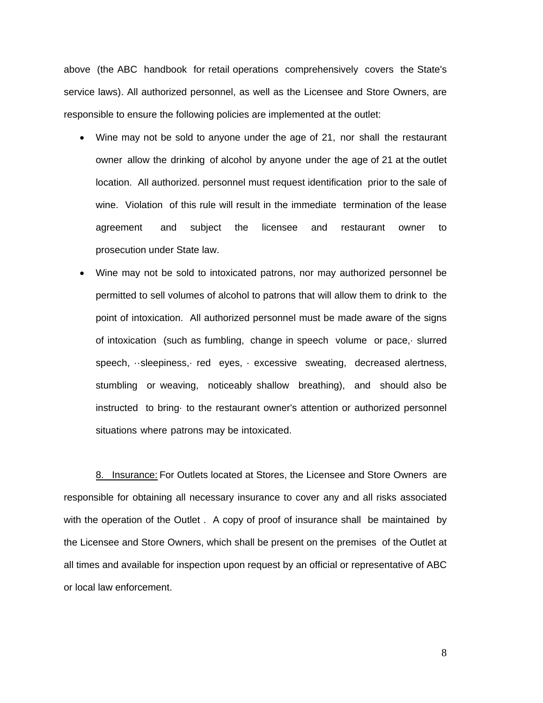above (the ABC handbook for retail operations comprehensively covers the State's service laws). All authorized personnel, as well as the Licensee and Store Owners, are responsible to ensure the following policies are implemented at the outlet:

- Wine may not be sold to anyone under the age of 21, nor shall the restaurant owner allow the drinking of alcohol by anyone under the age of 21 at the outlet location. All authorized. personnel must request identification prior to the sale of wine. Violation of this rule will result in the immediate termination of the lease agreement and subject the licensee and restaurant owner to prosecution under State law.
- Wine may not be sold to intoxicated patrons, nor may authorized personnel be permitted to sell volumes of alcohol to patrons that will allow them to drink to the point of intoxication. All authorized personnel must be made aware of the signs of intoxication (such as fumbling, change in speech volume or pace,· slurred speech, ··sleepiness,· red eyes, · excessive sweating, decreased alertness, stumbling or weaving, noticeably shallow breathing), and should also be instructed to bring· to the restaurant owner's attention or authorized personnel situations where patrons may be intoxicated.

 8. Insurance: For Outlets located at Stores, the Licensee and Store Owners are responsible for obtaining all necessary insurance to cover any and all risks associated with the operation of the Outlet. A copy of proof of insurance shall be maintained by the Licensee and Store Owners, which shall be present on the premises of the Outlet at all times and available for inspection upon request by an official or representative of ABC or local law enforcement.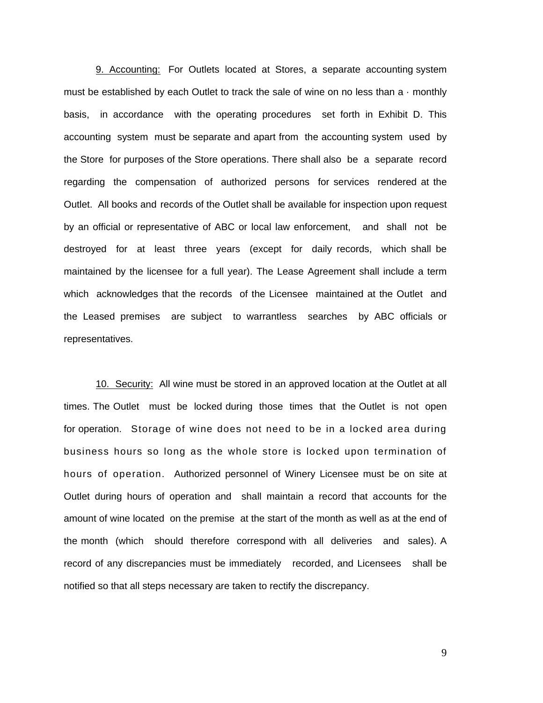9. Accounting: For Outlets located at Stores, a separate accounting system must be established by each Outlet to track the sale of wine on no less than  $a \cdot$  monthly basis, in accordance with the operating procedures set forth in Exhibit D. This accounting system must be separate and apart from the accounting system used by the Store for purposes of the Store operations. There shall also be a separate record regarding the compensation of authorized persons for services rendered at the Outlet. All books and records of the Outlet shall be available for inspection upon request by an official or representative of ABC or local law enforcement, and shall not be destroyed for at least three years (except for daily records, which shall be maintained by the licensee for a full year). The Lease Agreement shall include a term which acknowledges that the records of the Licensee maintained at the Outlet and the Leased premises are subject to warrantless searches by ABC officials or representatives.

10. Security: All wine must be stored in an approved location at the Outlet at all times. The Outlet must be locked during those times that the Outlet is not open for operation. Storage of wine does not need to be in a locked area during business hours so long as the whole store is locked upon termination of hours of operation. Authorized personnel of Winery Licensee must be on site at Outlet during hours of operation and shall maintain a record that accounts for the amount of wine located on the premise at the start of the month as well as at the end of the month (which should therefore correspond with all deliveries and sales). A record of any discrepancies must be immediately recorded, and Licensees shall be notified so that all steps necessary are taken to rectify the discrepancy.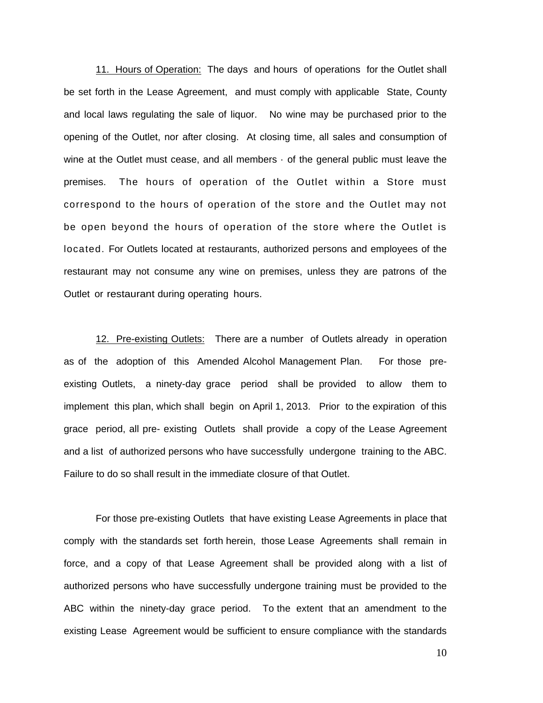11. Hours of Operation: The days and hours of operations for the Outlet shall be set forth in the Lease Agreement, and must comply with applicable State, County and local laws regulating the sale of liquor. No wine may be purchased prior to the opening of the Outlet, nor after closing. At closing time, all sales and consumption of wine at the Outlet must cease, and all members · of the general public must leave the premises. The hours of operation of the Outlet within a Store must correspond to the hours of operation of the store and the Outlet may not be open beyond the hours of operation of the store where the Outlet is located. For Outlets located at restaurants, authorized persons and employees of the restaurant may not consume any wine on premises, unless they are patrons of the Outlet or restaurant during operating hours.

12. Pre-existing Outlets: There are a number of Outlets already in operation as of the adoption of this Amended Alcohol Management Plan. For those preexisting Outlets, a ninety-day grace period shall be provided to allow them to implement this plan, which shall begin on April 1, 2013. Prior to the expiration of this grace period, all pre- existing Outlets shall provide a copy of the Lease Agreement and a list of authorized persons who have successfully undergone training to the ABC. Failure to do so shall result in the immediate closure of that Outlet.

For those pre-existing Outlets that have existing Lease Agreements in place that comply with the standards set forth herein, those Lease Agreements shall remain in force, and a copy of that Lease Agreement shall be provided along with a list of authorized persons who have successfully undergone training must be provided to the ABC within the ninety-day grace period. To the extent that an amendment to the existing Lease Agreement would be sufficient to ensure compliance with the standards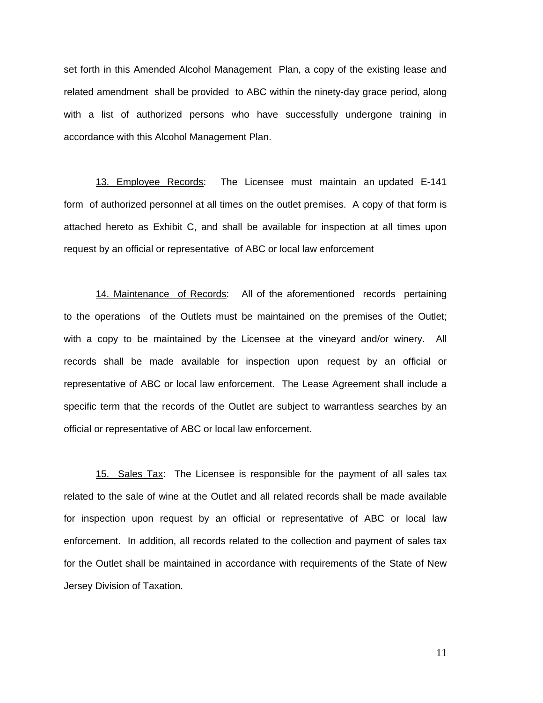set forth in this Amended Alcohol Management Plan, a copy of the existing lease and related amendment shall be provided to ABC within the ninety-day grace period, along with a list of authorized persons who have successfully undergone training in accordance with this Alcohol Management Plan.

13. Employee Records: The Licensee must maintain an updated E-141 form of authorized personnel at all times on the outlet premises. A copy of that form is attached hereto as Exhibit C, and shall be available for inspection at all times upon request by an official or representative of ABC or local law enforcement

14. Maintenance of Records: All of the aforementioned records pertaining to the operations of the Outlets must be maintained on the premises of the Outlet; with a copy to be maintained by the Licensee at the vineyard and/or winery. All records shall be made available for inspection upon request by an official or representative of ABC or local law enforcement. The Lease Agreement shall include a specific term that the records of the Outlet are subject to warrantless searches by an official or representative of ABC or local law enforcement.

15. Sales Tax: The Licensee is responsible for the payment of all sales tax related to the sale of wine at the Outlet and all related records shall be made available for inspection upon request by an official or representative of ABC or local law enforcement. In addition, all records related to the collection and payment of sales tax for the Outlet shall be maintained in accordance with requirements of the State of New Jersey Division of Taxation.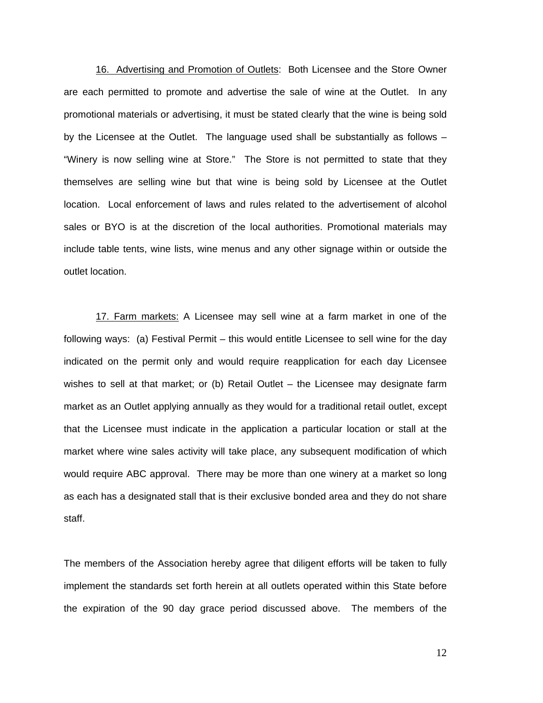16. Advertising and Promotion of Outlets: Both Licensee and the Store Owner are each permitted to promote and advertise the sale of wine at the Outlet. In any promotional materials or advertising, it must be stated clearly that the wine is being sold by the Licensee at the Outlet. The language used shall be substantially as follows – "Winery is now selling wine at Store." The Store is not permitted to state that they themselves are selling wine but that wine is being sold by Licensee at the Outlet location. Local enforcement of laws and rules related to the advertisement of alcohol sales or BYO is at the discretion of the local authorities. Promotional materials may include table tents, wine lists, wine menus and any other signage within or outside the outlet location.

17. Farm markets: A Licensee may sell wine at a farm market in one of the following ways: (a) Festival Permit – this would entitle Licensee to sell wine for the day indicated on the permit only and would require reapplication for each day Licensee wishes to sell at that market; or (b) Retail Outlet – the Licensee may designate farm market as an Outlet applying annually as they would for a traditional retail outlet, except that the Licensee must indicate in the application a particular location or stall at the market where wine sales activity will take place, any subsequent modification of which would require ABC approval. There may be more than one winery at a market so long as each has a designated stall that is their exclusive bonded area and they do not share staff.

The members of the Association hereby agree that diligent efforts will be taken to fully implement the standards set forth herein at all outlets operated within this State before the expiration of the 90 day grace period discussed above. The members of the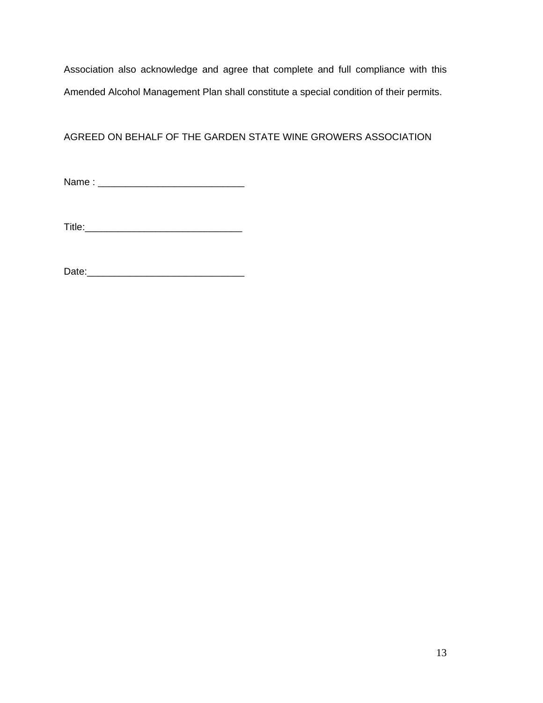Association also acknowledge and agree that complete and full compliance with this Amended Alcohol Management Plan shall constitute a special condition of their permits.

# AGREED ON BEHALF OF THE GARDEN STATE WINE GROWERS ASSOCIATION

Name : \_\_\_\_\_\_\_\_\_\_\_\_\_\_\_\_\_\_\_\_\_\_\_\_\_\_\_

Title:\_\_\_\_\_\_\_\_\_\_\_\_\_\_\_\_\_\_\_\_\_\_\_\_\_\_\_\_\_

Date:\_\_\_\_\_\_\_\_\_\_\_\_\_\_\_\_\_\_\_\_\_\_\_\_\_\_\_\_\_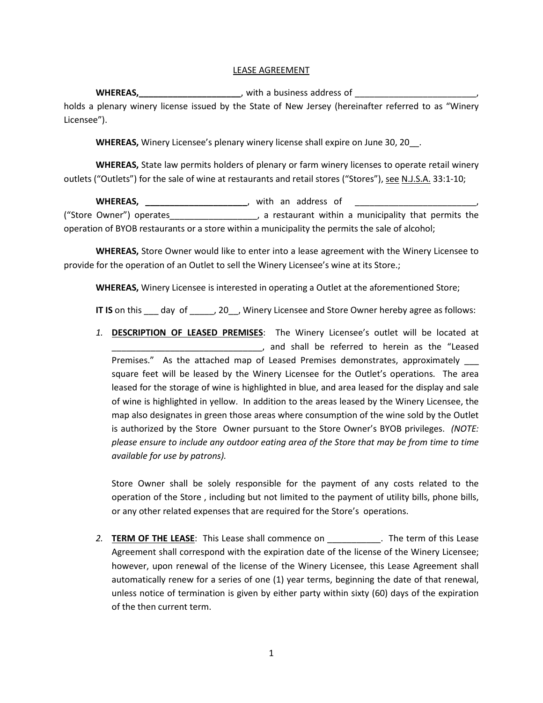#### LEASE AGREEMENT

**WHEREAS,\_\_\_\_\_\_\_\_\_\_\_\_\_\_\_\_\_\_\_\_\_**, with a business address of \_\_\_\_\_\_\_\_\_\_\_\_\_\_\_\_\_\_\_\_\_\_\_\_\_, holds a plenary winery license issued by the State of New Jersey (hereinafter referred to as "Winery Licensee").

**WHEREAS,** Winery Licensee's plenary winery license shall expire on June 30, 20\_\_.

**WHEREAS,** State law permits holders of plenary or farm winery licenses to operate retail winery outlets ("Outlets") for the sale of wine at restaurants and retail stores ("Stores"), see N.J.S.A. 33:1-10;

**WHEREAS, \_\_\_\_\_\_\_\_\_\_\_\_\_\_\_\_\_\_\_\_\_**, with an address of ("Store Owner") operates\_\_\_\_\_\_\_\_\_\_\_\_\_\_\_\_\_\_, a restaurant within a municipality that permits the operation of BYOB restaurants or a store within a municipality the permits the sale of alcohol;

**WHEREAS,** Store Owner would like to enter into a lease agreement with the Winery Licensee to provide for the operation of an Outlet to sell the Winery Licensee's wine at its Store.;

**WHEREAS,** Winery Licensee is interested in operating a Outlet at the aforementioned Store;

**IT IS** on this day of , 20, Winery Licensee and Store Owner hereby agree as follows:

*1.* **DESCRIPTION OF LEASED PREMISES**: The Winery Licensee's outlet will be located at \_\_\_\_\_\_\_\_\_\_\_\_\_\_\_\_\_\_\_\_\_\_\_\_\_\_\_\_\_\_\_, and shall be referred to herein as the "Leased Premises." As the attached map of Leased Premises demonstrates, approximately \_\_\_ square feet will be leased by the Winery Licensee for the Outlet's operations. The area leased for the storage of wine is highlighted in blue, and area leased for the display and sale of wine is highlighted in yellow. In addition to the areas leased by the Winery Licensee, the map also designates in green those areas where consumption of the wine sold by the Outlet is authorized by the Store Owner pursuant to the Store Owner's BYOB privileges. *(NOTE: please ensure to include any outdoor eating area of the Store that may be from time to time available for use by patrons).*

Store Owner shall be solely responsible for the payment of any costs related to the operation of the Store , including but not limited to the payment of utility bills, phone bills, or any other related expenses that are required for the Store's operations.

2. **TERM OF THE LEASE:** This Lease shall commence on **The term of this Lease** Agreement shall correspond with the expiration date of the license of the Winery Licensee; however, upon renewal of the license of the Winery Licensee, this Lease Agreement shall automatically renew for a series of one (1) year terms, beginning the date of that renewal, unless notice of termination is given by either party within sixty (60) days of the expiration of the then current term.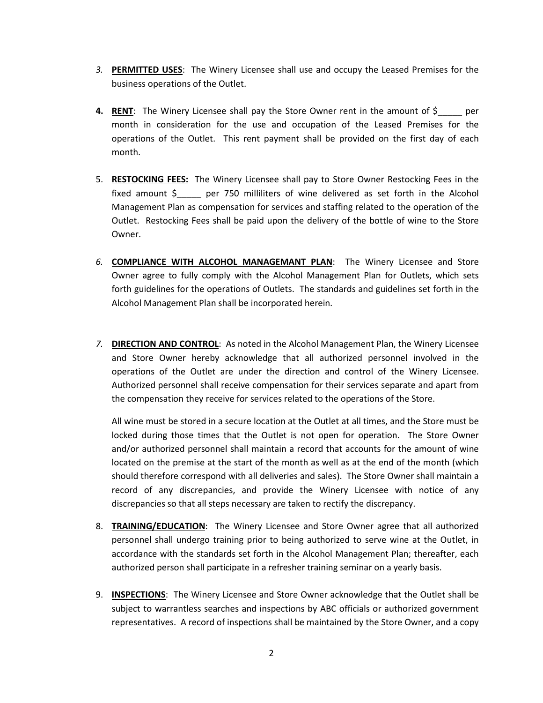- *3.* **PERMITTED USES**: The Winery Licensee shall use and occupy the Leased Premises for the business operations of the Outlet.
- **4. RENT**: The Winery Licensee shall pay the Store Owner rent in the amount of \$\_\_\_\_\_ per month in consideration for the use and occupation of the Leased Premises for the operations of the Outlet. This rent payment shall be provided on the first day of each month.
- 5. **RESTOCKING FEES:** The Winery Licensee shall pay to Store Owner Restocking Fees in the fixed amount \$\_\_\_\_\_ per 750 milliliters of wine delivered as set forth in the Alcohol Management Plan as compensation for services and staffing related to the operation of the Outlet. Restocking Fees shall be paid upon the delivery of the bottle of wine to the Store Owner.
- *6.* **COMPLIANCE WITH ALCOHOL MANAGEMANT PLAN**: The Winery Licensee and Store Owner agree to fully comply with the Alcohol Management Plan for Outlets, which sets forth guidelines for the operations of Outlets. The standards and guidelines set forth in the Alcohol Management Plan shall be incorporated herein.
- *7.* **DIRECTION AND CONTROL**: As noted in the Alcohol Management Plan, the Winery Licensee and Store Owner hereby acknowledge that all authorized personnel involved in the operations of the Outlet are under the direction and control of the Winery Licensee. Authorized personnel shall receive compensation for their services separate and apart from the compensation they receive for services related to the operations of the Store.

All wine must be stored in a secure location at the Outlet at all times, and the Store must be locked during those times that the Outlet is not open for operation. The Store Owner and/or authorized personnel shall maintain a record that accounts for the amount of wine located on the premise at the start of the month as well as at the end of the month (which should therefore correspond with all deliveries and sales). The Store Owner shall maintain a record of any discrepancies, and provide the Winery Licensee with notice of any discrepancies so that all steps necessary are taken to rectify the discrepancy.

- 8. **TRAINING/EDUCATION**: The Winery Licensee and Store Owner agree that all authorized personnel shall undergo training prior to being authorized to serve wine at the Outlet, in accordance with the standards set forth in the Alcohol Management Plan; thereafter, each authorized person shall participate in a refresher training seminar on a yearly basis.
- 9. **INSPECTIONS**: The Winery Licensee and Store Owner acknowledge that the Outlet shall be subject to warrantless searches and inspections by ABC officials or authorized government representatives. A record of inspections shall be maintained by the Store Owner, and a copy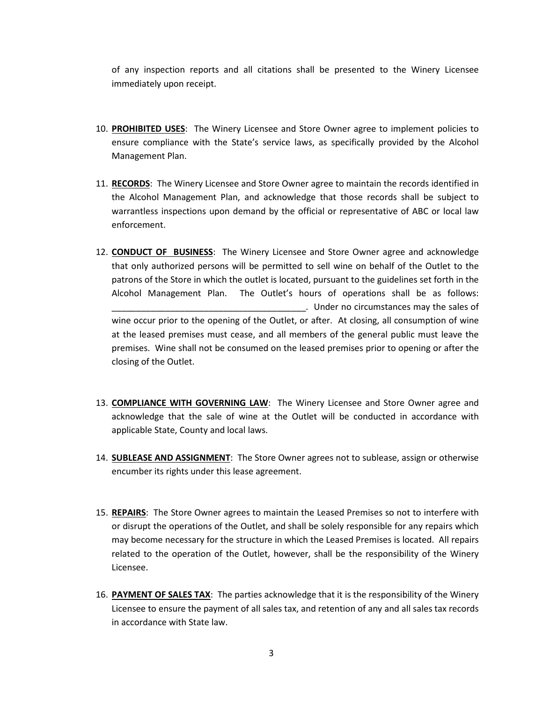of any inspection reports and all citations shall be presented to the Winery Licensee immediately upon receipt.

- 10. **PROHIBITED USES**: The Winery Licensee and Store Owner agree to implement policies to ensure compliance with the State's service laws, as specifically provided by the Alcohol Management Plan.
- 11. **RECORDS**: The Winery Licensee and Store Owner agree to maintain the records identified in the Alcohol Management Plan, and acknowledge that those records shall be subject to warrantless inspections upon demand by the official or representative of ABC or local law enforcement.
- 12. **CONDUCT OF BUSINESS**: The Winery Licensee and Store Owner agree and acknowledge that only authorized persons will be permitted to sell wine on behalf of the Outlet to the patrons of the Store in which the outlet is located, pursuant to the guidelines set forth in the Alcohol Management Plan. The Outlet's hours of operations shall be as follows: \_\_\_\_\_\_\_\_\_\_\_\_\_\_\_\_\_\_\_\_\_\_\_\_\_\_\_\_\_\_\_\_\_\_\_\_\_\_\_\_*.* Under no circumstances may the sales of wine occur prior to the opening of the Outlet, or after. At closing, all consumption of wine at the leased premises must cease, and all members of the general public must leave the premises. Wine shall not be consumed on the leased premises prior to opening or after the closing of the Outlet.
- 13. **COMPLIANCE WITH GOVERNING LAW**: The Winery Licensee and Store Owner agree and acknowledge that the sale of wine at the Outlet will be conducted in accordance with applicable State, County and local laws.
- 14. **SUBLEASE AND ASSIGNMENT**: The Store Owner agrees not to sublease, assign or otherwise encumber its rights under this lease agreement.
- 15. **REPAIRS**: The Store Owner agrees to maintain the Leased Premises so not to interfere with or disrupt the operations of the Outlet, and shall be solely responsible for any repairs which may become necessary for the structure in which the Leased Premises is located. All repairs related to the operation of the Outlet, however, shall be the responsibility of the Winery Licensee.
- 16. **PAYMENT OF SALES TAX**: The parties acknowledge that it is the responsibility of the Winery Licensee to ensure the payment of all sales tax, and retention of any and all sales tax records in accordance with State law.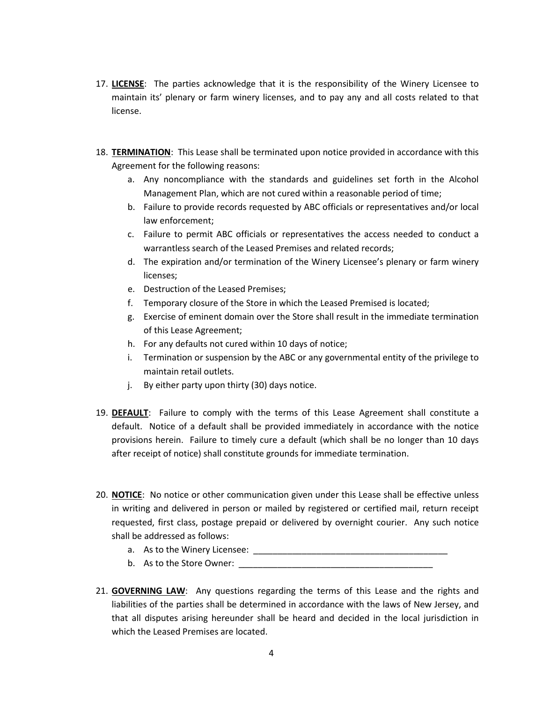- 17. **LICENSE**: The parties acknowledge that it is the responsibility of the Winery Licensee to maintain its' plenary or farm winery licenses, and to pay any and all costs related to that license.
- 18. **TERMINATION**: This Lease shall be terminated upon notice provided in accordance with this Agreement for the following reasons:
	- a. Any noncompliance with the standards and guidelines set forth in the Alcohol Management Plan, which are not cured within a reasonable period of time;
	- b. Failure to provide records requested by ABC officials or representatives and/or local law enforcement;
	- c. Failure to permit ABC officials or representatives the access needed to conduct a warrantless search of the Leased Premises and related records;
	- d. The expiration and/or termination of the Winery Licensee's plenary or farm winery licenses;
	- e. Destruction of the Leased Premises;
	- f. Temporary closure of the Store in which the Leased Premised is located;
	- g. Exercise of eminent domain over the Store shall result in the immediate termination of this Lease Agreement;
	- h. For any defaults not cured within 10 days of notice;
	- i. Termination or suspension by the ABC or any governmental entity of the privilege to maintain retail outlets.
	- j. By either party upon thirty (30) days notice.
- 19. **DEFAULT**: Failure to comply with the terms of this Lease Agreement shall constitute a default. Notice of a default shall be provided immediately in accordance with the notice provisions herein. Failure to timely cure a default (which shall be no longer than 10 days after receipt of notice) shall constitute grounds for immediate termination.
- 20. **NOTICE**: No notice or other communication given under this Lease shall be effective unless in writing and delivered in person or mailed by registered or certified mail, return receipt requested, first class, postage prepaid or delivered by overnight courier. Any such notice shall be addressed as follows:
	- a. As to the Winery Licensee: \_\_\_\_\_\_\_\_\_\_\_\_\_\_\_\_\_\_\_\_\_\_\_\_\_\_\_\_\_\_\_\_\_\_\_\_\_\_\_\_
	- b. As to the Store Owner:
- 21. **GOVERNING LAW**: Any questions regarding the terms of this Lease and the rights and liabilities of the parties shall be determined in accordance with the laws of New Jersey, and that all disputes arising hereunder shall be heard and decided in the local jurisdiction in which the Leased Premises are located.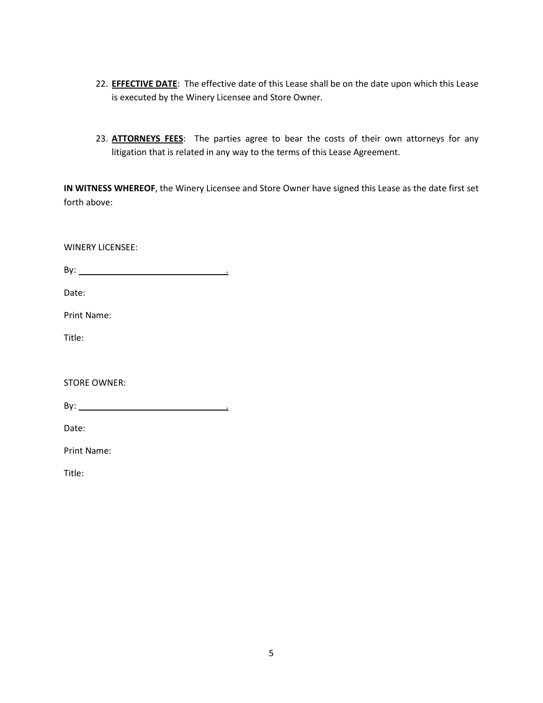- 22. **EFFECTIVE DATE**: The effective date of this Lease shall be on the date upon which this Lease is executed by the Winery Licensee and Store Owner.
- 23. **ATTORNEYS FEES**: The parties agree to bear the costs of their own attorneys for any litigation that is related in any way to the terms of this Lease Agreement.

**IN WITNESS WHEREOF**, the Winery Licensee and Store Owner have signed this Lease as the date first set forth above:

WINERY LICENSEE: By: . Date: Print Name: Title: STORE OWNER: By:  $\qquad \qquad$ Date: Print Name: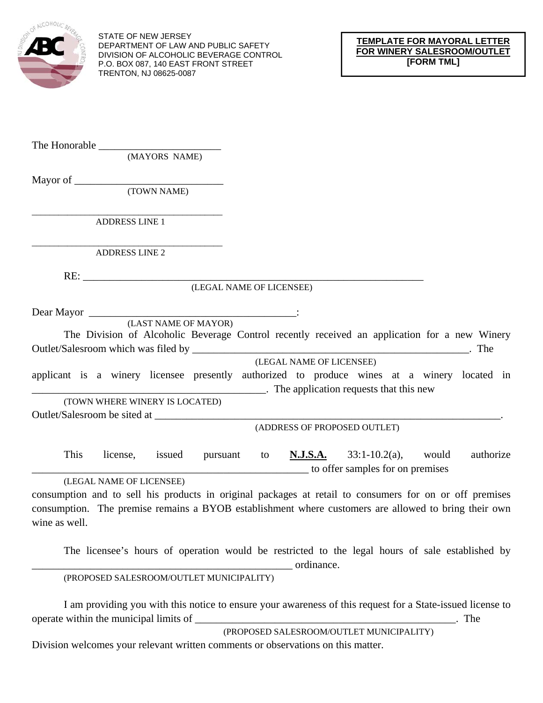

STATE OF NEW JERSEY DEPARTMENT OF LAW AND PUBLIC SAFETY DIVISION OF ALCOHOLIC BEVERAGE CONTROL P.O. BOX 087, 140 EAST FRONT STREET TRENTON, NJ 08625-0087

The Honorable \_\_\_\_\_\_\_\_\_\_\_\_\_\_\_\_\_\_\_\_\_\_\_

(MAYORS NAME)

Mayor of \_\_\_\_\_\_\_\_\_\_\_\_\_\_\_\_\_\_\_\_\_\_\_\_\_\_\_\_

(TOWN NAME)

\_\_\_\_\_\_\_\_\_\_\_\_\_\_\_\_\_\_\_\_\_\_\_\_\_\_\_\_\_\_\_\_\_\_\_\_\_\_\_\_\_\_\_ ADDRESS LINE 1

\_\_\_\_\_\_\_\_\_\_\_\_\_\_\_\_\_\_\_\_\_\_\_\_\_\_\_\_\_\_\_\_\_\_\_\_\_\_\_\_\_\_\_ ADDRESS LINE 2

RE: \_\_\_\_\_\_\_\_\_\_\_\_\_\_\_\_\_\_\_\_\_\_\_\_\_\_\_\_\_\_\_\_\_\_\_\_\_\_\_\_\_\_\_\_\_\_\_\_\_\_\_\_\_\_\_\_\_\_\_\_\_\_\_\_

(LEGAL NAME OF LICENSEE)

Dear Mayor \_\_\_\_\_\_\_\_\_\_\_\_\_\_\_\_\_\_\_\_\_\_\_\_\_\_\_\_\_\_\_\_\_\_\_\_\_\_\_:

(LAST NAME OF MAYOR)

 The Division of Alcoholic Beverage Control recently received an application for a new Winery Outlet/Salesroom which was filed by \_\_\_\_\_\_\_\_\_\_\_\_\_\_\_\_\_\_\_\_\_\_\_\_\_\_\_\_\_\_\_\_\_\_\_\_\_\_\_\_\_\_\_\_\_\_\_\_\_\_\_\_. The

(LEGAL NAME OF LICENSEE)

applicant is a winery licensee presently authorized to produce wines at a winery located in \_\_\_\_\_\_\_\_\_\_\_\_\_\_\_\_\_\_\_\_\_\_\_\_\_\_\_\_\_\_\_\_\_\_\_\_\_\_\_\_\_\_\_\_. The application requests that this new

(TOWN WHERE WINERY IS LOCATED)

Outlet/Salesroom be sited at \_\_\_\_\_\_\_\_\_\_\_\_\_\_\_\_\_\_\_\_\_\_\_\_\_\_\_\_\_\_\_\_\_\_\_\_\_\_\_\_\_\_\_\_\_\_\_\_\_\_\_\_\_\_\_\_\_\_\_\_\_\_\_\_\_.

(ADDRESS OF PROPOSED OUTLET)

 This license, issued pursuant to **N.J.S.A.** 33:1-10.2(a), would authorize \_\_\_\_\_\_\_\_\_\_\_\_\_\_\_\_\_\_\_\_\_\_\_\_\_\_\_\_\_\_\_\_\_\_\_\_\_\_\_\_\_\_\_\_\_\_\_\_\_\_\_\_ to offer samples for on premises

(LEGAL NAME OF LICENSEE)

consumption and to sell his products in original packages at retail to consumers for on or off premises consumption. The premise remains a BYOB establishment where customers are allowed to bring their own wine as well.

 The licensee's hours of operation would be restricted to the legal hours of sale established by expressed and the ordinance.

(PROPOSED SALESROOM/OUTLET MUNICIPALITY)

 I am providing you with this notice to ensure your awareness of this request for a State-issued license to operate within the municipal limits of \_\_\_\_\_\_\_\_\_\_\_\_\_\_\_\_\_\_\_\_\_\_\_\_\_\_\_\_\_\_\_\_\_\_\_\_\_\_\_\_\_\_\_\_\_\_\_\_\_. The

(PROPOSED SALESROOM/OUTLET MUNICIPALITY)

Division welcomes your relevant written comments or observations on this matter.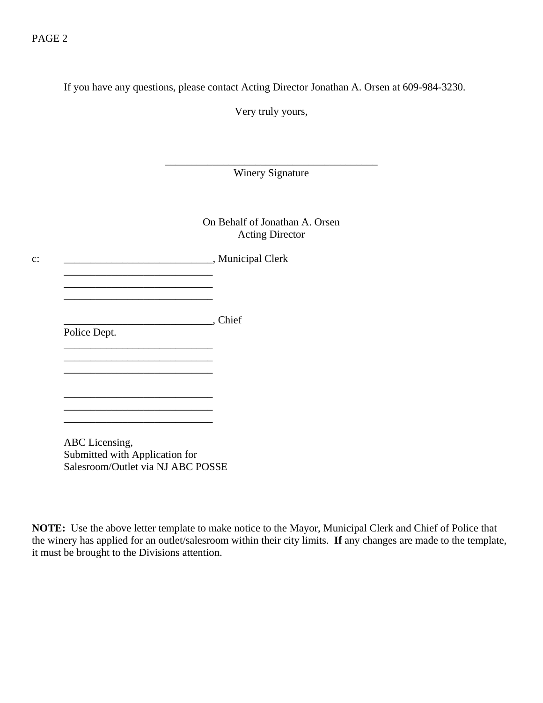### PAGE 2

If you have any questions, please contact Acting Director Jonathan A. Orsen at 609-984-3230.

Very truly yours,

\_\_\_\_\_\_\_\_\_\_\_\_\_\_\_\_\_\_\_\_\_\_\_\_\_\_\_\_\_\_\_\_\_\_\_\_\_\_\_\_ Winery Signature

> On Behalf of Jonathan A. Orsen Acting Director

c: \_\_\_\_\_\_\_\_\_\_\_\_\_\_\_\_\_\_\_\_\_\_\_\_\_\_\_\_\_\_\_\_, Municipal Clerk \_\_\_\_\_\_\_\_\_\_\_\_\_\_\_\_\_\_\_\_\_\_\_\_\_\_\_\_

> \_\_\_\_\_\_\_\_\_\_\_\_\_\_\_\_\_\_\_\_\_\_\_\_\_\_\_\_, Chief Police Dept.

 $\overline{\phantom{a}}$  , and the set of the set of the set of the set of the set of the set of the set of the set of the set of the set of the set of the set of the set of the set of the set of the set of the set of the set of the s

 $\mathcal{L}_\text{max}$  and  $\mathcal{L}_\text{max}$  and  $\mathcal{L}_\text{max}$  and  $\mathcal{L}_\text{max}$ 

\_\_\_\_\_\_\_\_\_\_\_\_\_\_\_\_\_\_\_\_\_\_\_\_\_\_\_\_

 $\frac{1}{\sqrt{2}}$  ,  $\frac{1}{\sqrt{2}}$  ,  $\frac{1}{\sqrt{2}}$  ,  $\frac{1}{\sqrt{2}}$  ,  $\frac{1}{\sqrt{2}}$  ,  $\frac{1}{\sqrt{2}}$  ,  $\frac{1}{\sqrt{2}}$  ,  $\frac{1}{\sqrt{2}}$  ,  $\frac{1}{\sqrt{2}}$  ,  $\frac{1}{\sqrt{2}}$  ,  $\frac{1}{\sqrt{2}}$  ,  $\frac{1}{\sqrt{2}}$  ,  $\frac{1}{\sqrt{2}}$  ,  $\frac{1}{\sqrt{2}}$  ,  $\frac{1}{\sqrt{2}}$  $\frac{1}{\sqrt{2}}$  ,  $\frac{1}{\sqrt{2}}$  ,  $\frac{1}{\sqrt{2}}$  ,  $\frac{1}{\sqrt{2}}$  ,  $\frac{1}{\sqrt{2}}$  ,  $\frac{1}{\sqrt{2}}$  ,  $\frac{1}{\sqrt{2}}$  ,  $\frac{1}{\sqrt{2}}$  ,  $\frac{1}{\sqrt{2}}$  ,  $\frac{1}{\sqrt{2}}$  ,  $\frac{1}{\sqrt{2}}$  ,  $\frac{1}{\sqrt{2}}$  ,  $\frac{1}{\sqrt{2}}$  ,  $\frac{1}{\sqrt{2}}$  ,  $\frac{1}{\sqrt{2}}$ 

\_\_\_\_\_\_\_\_\_\_\_\_\_\_\_\_\_\_\_\_\_\_\_\_\_\_\_\_

 $\frac{1}{\sqrt{2}}$  ,  $\frac{1}{\sqrt{2}}$  ,  $\frac{1}{\sqrt{2}}$  ,  $\frac{1}{\sqrt{2}}$  ,  $\frac{1}{\sqrt{2}}$  ,  $\frac{1}{\sqrt{2}}$  ,  $\frac{1}{\sqrt{2}}$  ,  $\frac{1}{\sqrt{2}}$  ,  $\frac{1}{\sqrt{2}}$  ,  $\frac{1}{\sqrt{2}}$  ,  $\frac{1}{\sqrt{2}}$  ,  $\frac{1}{\sqrt{2}}$  ,  $\frac{1}{\sqrt{2}}$  ,  $\frac{1}{\sqrt{2}}$  ,  $\frac{1}{\sqrt{2}}$ 

 ABC Licensing, Submitted with Application for Salesroom/Outlet via NJ ABC POSSE

**NOTE:** Use the above letter template to make notice to the Mayor, Municipal Clerk and Chief of Police that the winery has applied for an outlet/salesroom within their city limits. **If** any changes are made to the template, it must be brought to the Divisions attention.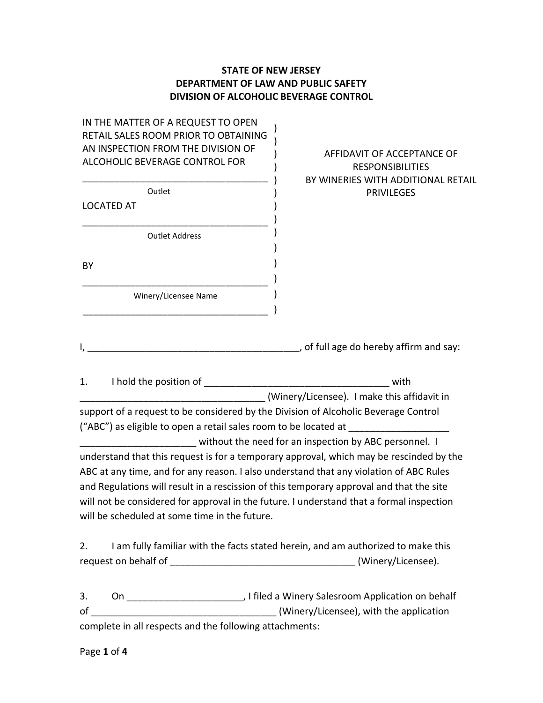## **STATE OF NEW JERSEY DEPARTMENT OF LAW AND PUBLIC SAFETY DIVISION OF ALCOHOLIC BEVERAGE CONTROL**

) ) ) )

IN THE MATTER OF A REQUEST TO OPEN RETAIL SALES ROOM PRIOR TO OBTAINING AN INSPECTION FROM THE DIVISION OF ALCOHOLIC BEVERAGE CONTROL FOR

|                   | Outlet                |
|-------------------|-----------------------|
| <b>LOCATED AT</b> |                       |
|                   |                       |
|                   | <b>Outlet Address</b> |
|                   |                       |
| ΒY                |                       |
|                   |                       |
|                   | Winery/Licensee Name  |
|                   |                       |

## AFFIDAVIT OF ACCEPTANCE OF **RESPONSIBILITIES** BY WINERIES WITH ADDITIONAL RETAIL **PRIVILEGES**

I, the contract of the contract of the contract of full age do hereby affirm and say:

1. I hold the position of \_\_\_\_\_\_\_\_\_\_\_\_\_\_\_\_\_\_\_\_\_\_\_\_\_\_\_\_\_\_\_\_\_\_\_ with \_\_\_\_\_\_\_\_\_\_\_\_\_\_\_\_\_\_\_\_\_\_\_\_\_\_\_\_\_\_\_\_\_\_\_ (Winery/Licensee). I make this affidavit in support of a request to be considered by the Division of Alcoholic Beverage Control ("ABC") as eligible to open a retail sales room to be located at without the need for an inspection by ABC personnel. I understand that this request is for a temporary approval, which may be rescinded by the ABC at any time, and for any reason. I also understand that any violation of ABC Rules and Regulations will result in a rescission of this temporary approval and that the site will not be considered for approval in the future. I understand that a formal inspection will be scheduled at some time in the future.

2. I am fully familiar with the facts stated herein, and am authorized to make this request on behalf of **Exercise** (Winery/Licensee).

3. On \_\_\_\_\_\_\_\_\_\_\_\_\_\_\_\_\_\_\_\_\_\_, I filed a Winery Salesroom Application on behalf of the contract of the contract of the contract of the contract (Winery/Licensee), with the application complete in all respects and the following attachments: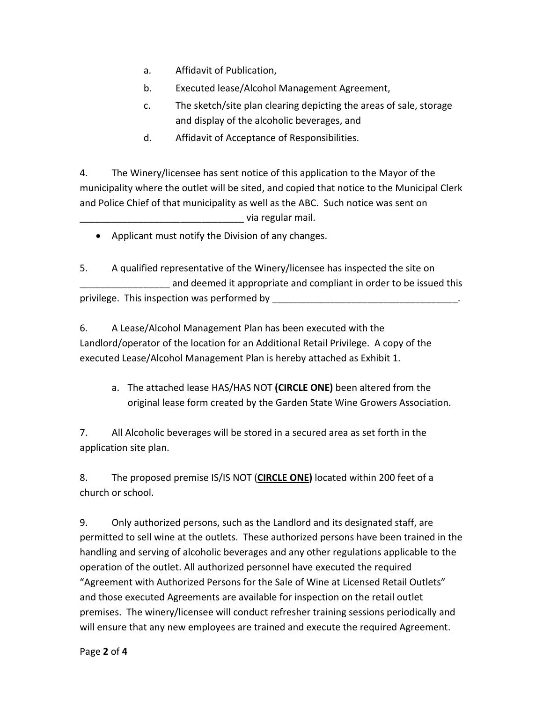- a. Affidavit of Publication,
- b. Executed lease/Alcohol Management Agreement,
- c. The sketch/site plan clearing depicting the areas of sale, storage and display of the alcoholic beverages, and
- d. Affidavit of Acceptance of Responsibilities.

4. The Winery/licensee has sent notice of this application to the Mayor of the municipality where the outlet will be sited, and copied that notice to the Municipal Clerk and Police Chief of that municipality as well as the ABC. Such notice was sent on \_\_\_\_\_\_\_\_\_\_\_\_\_\_\_\_\_\_\_\_\_\_\_\_\_\_\_\_\_\_\_ via regular mail.

Applicant must notify the Division of any changes.

5. A qualified representative of the Winery/licensee has inspected the site on and deemed it appropriate and compliant in order to be issued this privilege. This inspection was performed by

6. A Lease/Alcohol Management Plan has been executed with the Landlord/operator of the location for an Additional Retail Privilege. A copy of the executed Lease/Alcohol Management Plan is hereby attached as Exhibit 1.

a. The attached lease HAS/HAS NOT **(CIRCLE ONE)** been altered from the original lease form created by the Garden State Wine Growers Association.

7. All Alcoholic beverages will be stored in a secured area as set forth in the application site plan.

8. The proposed premise IS/IS NOT (**CIRCLE ONE)** located within 200 feet of a church or school.

9. Only authorized persons, such as the Landlord and its designated staff, are permitted to sell wine at the outlets. These authorized persons have been trained in the handling and serving of alcoholic beverages and any other regulations applicable to the operation of the outlet. All authorized personnel have executed the required "Agreement with Authorized Persons for the Sale of Wine at Licensed Retail Outlets" and those executed Agreements are available for inspection on the retail outlet premises. The winery/licensee will conduct refresher training sessions periodically and will ensure that any new employees are trained and execute the required Agreement.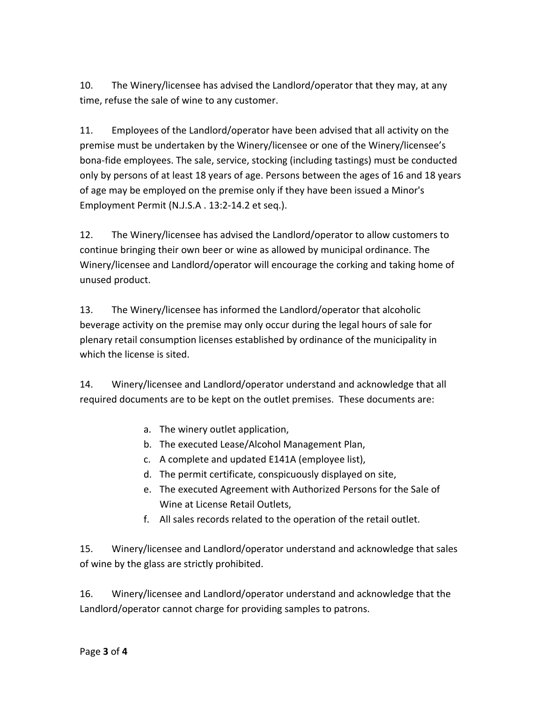10. The Winery/licensee has advised the Landlord/operator that they may, at any time, refuse the sale of wine to any customer.

11. Employees of the Landlord/operator have been advised that all activity on the premise must be undertaken by the Winery/licensee or one of the Winery/licensee's bona‐fide employees. The sale, service, stocking (including tastings) must be conducted only by persons of at least 18 years of age. Persons between the ages of 16 and 18 years of age may be employed on the premise only if they have been issued a Minor's Employment Permit (N.J.S.A . 13:2‐14.2 et seq.).

12. The Winery/licensee has advised the Landlord/operator to allow customers to continue bringing their own beer or wine as allowed by municipal ordinance. The Winery/licensee and Landlord/operator will encourage the corking and taking home of unused product.

13. The Winery/licensee has informed the Landlord/operator that alcoholic beverage activity on the premise may only occur during the legal hours of sale for plenary retail consumption licenses established by ordinance of the municipality in which the license is sited.

14. Winery/licensee and Landlord/operator understand and acknowledge that all required documents are to be kept on the outlet premises. These documents are:

- a. The winery outlet application,
- b. The executed Lease/Alcohol Management Plan,
- c. A complete and updated E141A (employee list),
- d. The permit certificate, conspicuously displayed on site,
- e. The executed Agreement with Authorized Persons for the Sale of Wine at License Retail Outlets,
- f. All sales records related to the operation of the retail outlet.

15. Winery/licensee and Landlord/operator understand and acknowledge that sales of wine by the glass are strictly prohibited.

16. Winery/licensee and Landlord/operator understand and acknowledge that the Landlord/operator cannot charge for providing samples to patrons.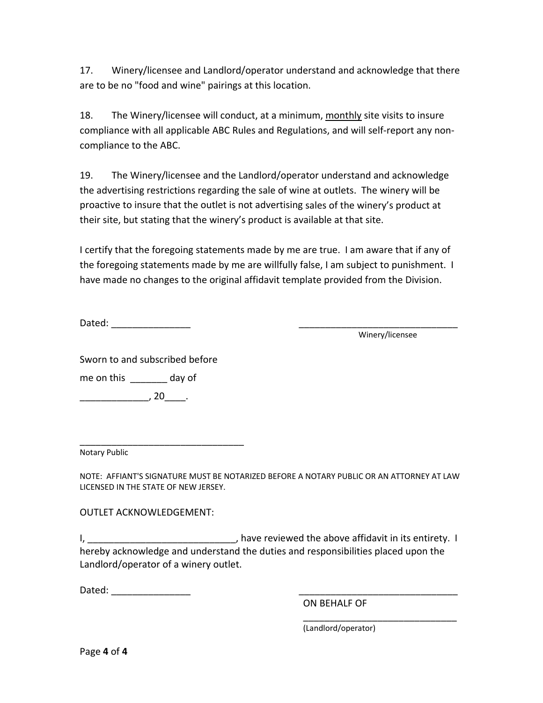17. Winery/licensee and Landlord/operator understand and acknowledge that there are to be no "food and wine" pairings at this location.

18. The Winery/licensee will conduct, at a minimum, monthly site visits to insure compliance with all applicable ABC Rules and Regulations, and will self‐report any non‐ compliance to the ABC.

19. The Winery/licensee and the Landlord/operator understand and acknowledge the advertising restrictions regarding the sale of wine at outlets. The winery will be proactive to insure that the outlet is not advertising sales of the winery's product at their site, but stating that the winery's product is available at that site.

I certify that the foregoing statements made by me are true. I am aware that if any of the foregoing statements made by me are willfully false, I am subject to punishment. I have made no changes to the original affidavit template provided from the Division.

Dated:  $\Box$ 

Winery/licensee

Sworn to and subscribed before

me on this \_\_\_\_\_\_\_ day of

 $\overline{\phantom{a}}$ , 20 $\overline{\phantom{a}}$ , 20 $\overline{\phantom{a}}$ .

\_\_\_\_\_\_\_\_\_\_\_\_\_\_\_\_\_\_\_\_\_\_\_\_\_\_\_\_\_\_\_ Notary Public

NOTE: AFFIANT'S SIGNATURE MUST BE NOTARIZED BEFORE A NOTARY PUBLIC OR AN ATTORNEY AT LAW LICENSED IN THE STATE OF NEW JERSEY.

OUTLET ACKNOWLEDGEMENT:

I, \_\_\_\_\_\_\_\_\_\_\_\_\_\_\_\_\_\_\_\_\_\_\_\_\_\_\_\_\_\_\_\_\_\_, have reviewed the above affidavit in its entirety. I hereby acknowledge and understand the duties and responsibilities placed upon the Landlord/operator of a winery outlet.

Dated: \_\_\_\_\_\_\_\_\_\_\_\_\_\_\_ \_\_\_\_\_\_\_\_\_\_\_\_\_\_\_\_\_\_\_\_\_\_\_\_\_\_\_\_\_\_

ON BEHALF OF

 $\overline{\phantom{a}}$  , and the contract of the contract of the contract of the contract of the contract of the contract of the contract of the contract of the contract of the contract of the contract of the contract of the contrac (Landlord/operator)